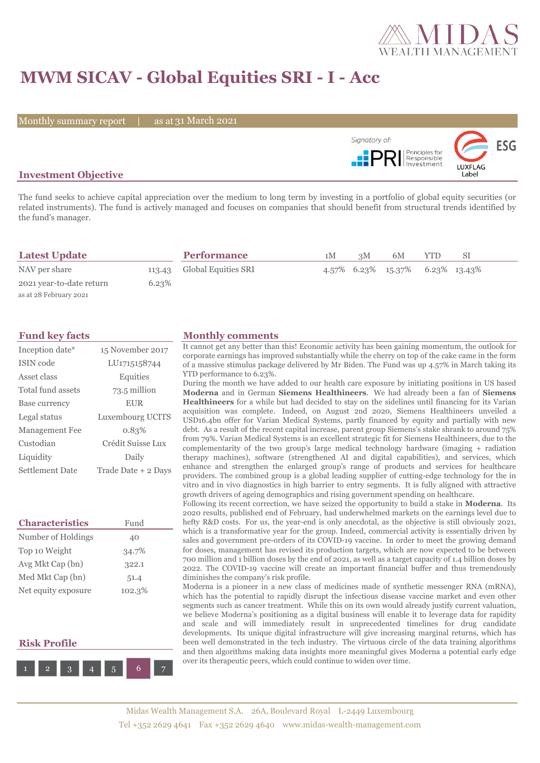

# **MWM SICAV - Global Equities SRI - I - Acc**

Monthly summary report | as at 31 March 2021



## **Investment Objective**

The fund seeks to achieve capital appreciation over the medium to long term by investing in a portfolio of global equity securities (or related instruments). The fund is actively managed and focuses on companies that should benefit from structural trends identified by the fund's manager.

| <b>Latest Update</b>     |       | <b>Performance</b>         | 1M | 3M | 6M                              | <b>YTD</b> | SΙ |  |
|--------------------------|-------|----------------------------|----|----|---------------------------------|------------|----|--|
| NAV per share            |       | 113.43 Global Equities SRI |    |    | 4.57% 6.23% 15.37% 6.23% 13.43% |            |    |  |
| 2021 year-to-date return | 6.23% |                            |    |    |                                 |            |    |  |
| as at 28 February 2021   |       |                            |    |    |                                 |            |    |  |

| Inception date*       | 15 November 2017    |
|-----------------------|---------------------|
| <b>ISIN</b> code      | LU1715158744        |
| Asset class           | Equities            |
| Total fund assets     | 73.5 million        |
| Base currency         | <b>EUR</b>          |
| Legal status          | Luxembourg UCITS    |
| <b>Management Fee</b> | 0.83%               |
| Custodian             | Crédit Suisse Lux   |
| Liquidity             | Daily               |
| Settlement Date       | Trade Date + 2 Days |

| <b>Characteristics</b> | Fund   |
|------------------------|--------|
| Number of Holdings     | 40     |
| Top 10 Weight          | 34.7%  |
| Avg Mkt Cap (bn)       | 322.1  |
| Med Mkt Cap (bn)       | 51.4   |
| Net equity exposure    | 102.3% |

# **Risk Profile**



### **Fund key facts Monthly comments**

It cannot get any better than this! Economic activity has been gaining momentum, the outlook for corporate earnings has improved substantially while the cherry on top of the cake came in the form of a massive stimulus package delivered by Mr Biden. The Fund was up 4.57% in March taking its YTD performance to 6.23%.

During the month we have added to our health care exposure by initiating positions in US based **Moderna** and in German **Siemens Healthineers**. We had already been a fan of **Siemens Healthineers** for a while but had decided to stay on the sidelines until financing for its Varian acquisition was complete. Indeed, on August 2nd 2020, Siemens Healthineers unveiled a USD16.4bn offer for Varian Medical Systems, partly financed by equity and partially with new debt. As a result of the recent capital increase, parent group Siemens's stake shrank to around 75% from 79%. Varian Medical Systems is an excellent strategic fit for Siemens Healthineers, due to the complementarity of the two group's large medical technology hardware (imaging + radiation therapy machines), software (strengthened AI and digital capabilities), and services, which enhance and strengthen the enlarged group's range of products and services for healthcare providers. The combined group is a global leading supplier of cutting-edge technology for the in vitro and in vivo diagnostics in high barrier to entry segments. It is fully aligned with attractive growth drivers of ageing demographics and rising government spending on healthcare.

Following its recent correction, we have seized the opportunity to build a stake in **Moderna**. Its 2020 results, published end of February, had underwhelmed markets on the earnings level due to hefty R&D costs. For us, the year-end is only anecdotal, as the objective is still obviously 2021, which is a transformative year for the group. Indeed, commercial activity is essentially driven by sales and government pre-orders of its COVID-19 vaccine. In order to meet the growing demand for doses, management has revised its production targets, which are now expected to be between 700 million and 1 billion doses by the end of 2021, as well as a target capacity of 1.4 billion doses by 2022. The COVID-19 vaccine will create an important financial buffer and thus tremendously diminishes the company's risk profile.

Moderna is a pioneer in a new class of medicines made of synthetic messenger RNA (mRNA), which has the potential to rapidly disrupt the infectious disease vaccine market and even other segments such as cancer treatment. While this on its own would already justify current valuation, we believe Moderna's positioning as a digital business will enable it to leverage data for rapidity and scale and will immediately result in unprecedented timelines for drug candidate developments. Its unique digital infrastructure will give increasing marginal returns, which has been well demonstrated in the tech industry. The virtuous circle of the data training algorithms and then algorithms making data insights more meaningful gives Moderna a potential early edge over its therapeutic peers, which could continue to widen over time.